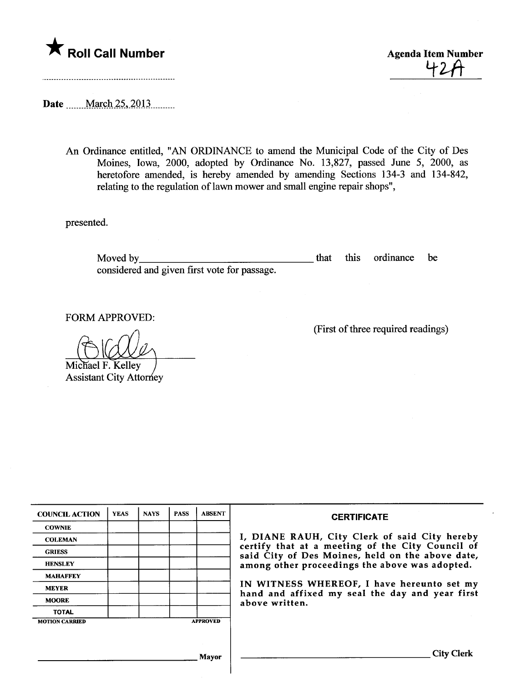

<u>42A</u>

Date \_\_\_\_\_March 25, 2013

An Ordinance entitled, "AN ORDINANCE to amend the Muncipal Code of the City of Des Moines, Iowa, 2000, adopted by Ordinance No. 13,827, passed June 5, 2000, as heretofore amended, is hereby amended by amending Sections 134-3 and 134-842, relating to the regulation of lawn mower and small engine repair shops",

presented.

Moved by that that the same state of the state of the state of the state of the state of the state of the state of the state of the state of the state of the state of the state of the state of the state of the state of the considered and given first vote for passage. this ordinance be

FORM APPROVED:

Michael F. Kelley **Assistant City Attorney** 

|  | (First of three required readings) |
|--|------------------------------------|
|  |                                    |

| <b>COUNCIL ACTION</b> | <b>YEAS</b> | <b>NAYS</b> | <b>PASS</b> | <b>ABSENT</b>   | <b>CERTIFICATE</b>                                                                                                                                                |  |  |
|-----------------------|-------------|-------------|-------------|-----------------|-------------------------------------------------------------------------------------------------------------------------------------------------------------------|--|--|
| <b>COWNIE</b>         |             |             |             |                 |                                                                                                                                                                   |  |  |
| <b>COLEMAN</b>        |             |             |             |                 | I, DIANE RAUH, City Clerk of said City hereby                                                                                                                     |  |  |
| <b>GRIESS</b>         |             |             |             |                 | certify that at a meeting of the City Council of<br>said City of Des Moines, held on the above date,                                                              |  |  |
| <b>HENSLEY</b>        |             |             |             |                 | among other proceedings the above was adopted.<br>IN WITNESS WHEREOF, I have hereunto set my<br>hand and affixed my seal the day and year first<br>above written. |  |  |
| <b>MAHAFFEY</b>       |             |             |             |                 |                                                                                                                                                                   |  |  |
| <b>MEYER</b>          |             |             |             |                 |                                                                                                                                                                   |  |  |
| <b>MOORE</b>          |             |             |             |                 |                                                                                                                                                                   |  |  |
| <b>TOTAL</b>          |             |             |             |                 |                                                                                                                                                                   |  |  |
| <b>MOTION CARRIED</b> |             |             |             | <b>APPROVED</b> |                                                                                                                                                                   |  |  |
|                       |             |             |             |                 |                                                                                                                                                                   |  |  |
|                       |             |             |             | Mayor           | <b>City Clerk</b>                                                                                                                                                 |  |  |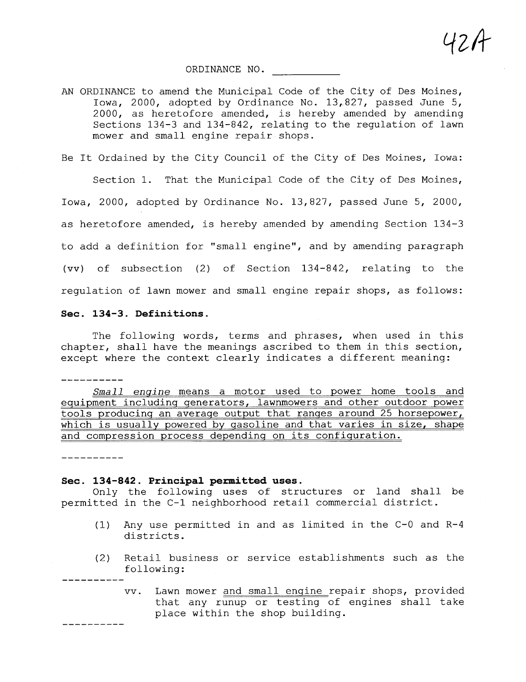ORDINANCE NO.

AN ORDINANCE to amend the Municipal Code of the City of Des Moines, Iowa, 2000, adopted by Ordinance No. 13,827, passed June 5, 2000, as heretofore amended, is hereby amended by amending Sections 134-3 and 134-842, relating to the regulation of lawn mower and small engine repair shops.

Lfz/l

Be It Ordained by the City Council of the City of Des Moines, Iowa:

Section 1. That the Municipal Code of the City of Des Moines, Iowa, 2000, adopted by Ordinance No. 13,827, passed June 5, 2000, as heretofore amended, is hereby amended by amending Section 134-3 to add a definition for "small engine", and by amending paragraph (vv) of subsection (2) of Section 134-842, relating to the regulation of lawn mower and small engine repair shops, as follows:

## Sec. 134-3. Definitions.

The following words, terms and phrases, when used in this chapter, shall have the meanings ascribed to them in this section, except where the context clearly indicates a different meaning:

Small engine means a motor used to power home tools and equipment includinq qenerators, lawnmowers and other outdoor power tools producinq an averaqe output that ranqes around 25 horsepower, which is usually powered by qasoline and that varies in size, shape and compression process dependinq on its confiquration.

----------

----------

## Sec. 134-842. Principal permitted uses.

Only the following uses of structures or land shall be permitted in the C-1 neighborhood retail commercial district.

- (1) Any use permitted in and as limited in the C-O and R-4 districts.
- (2) Retail business or service establishments such as the following:
	- vv. Lawn mower and small enqine repair shops, provided that any runup or testing of engines shall take place within the shop building.

 $\overline{a}$